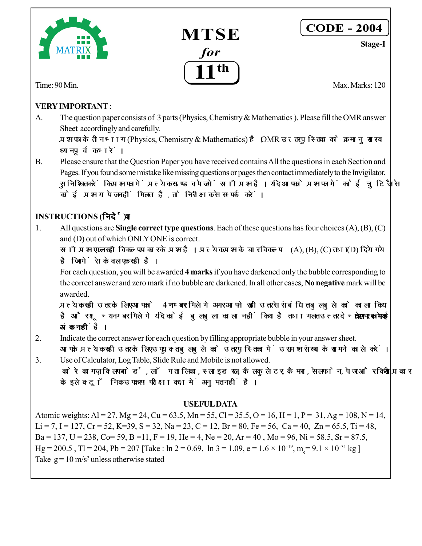



## **CODE - 2004**

**Stage-I**

Time: 90 Min. Max. Marks: 120

### **VERY IMPORTANT** :

A. The question paper consists of 3 parts (Physics, Chemistry & Mathematics ). Please fill the OMR answer Sheet accordingly and carefully.

प्रश्न पत्र के तीन भाग (Physics, Chemistry & Mathematics) है। OMR उत्तर पुस्तिका को क्रमानुसार व ध्यानपूर्वक **भरें** ।

B. Please ensure that the Question Paper you have received contains All the questions in each Section and Pages. If you found some mistake like missing questions or pages then contact immediately to the Invigilator. सुनिश्चित करें कि प्रश्न पत्र में प्रत्येक खण्ड व पेज में सभी प्रश्न है। यदि आपको प्रश्न पत्र में कोई त्र**ि** जैसे <u>कोई प्रश्न या पेज नहीं मिलता है. तो निरीक्षक से सम्पर्क करें।</u>

## **INSTRUCTIONS (निर्देश)**

1. All questions are **Single correct type questions**. Each of these questions has four choices (A), (B), (C) and (D) out of which ONLY ONE is correct.

 $l$ सभी प्रश्न एकल सही विकल्प प्रकार के प्रश्न है। प्रत्येक प्रश्न के चार विकल्प (A), (B), (C) तथा (D) दिये गये है जिनमें से केवल एक सही है।

For each question, you will be awarded **4 marks** if you have darkened only the bubble corresponding to the correct answer and zero mark if no bubble are darkened. In all other cases, **No negative** mark will be awarded.

प्रत्येक सही उतर के लिए आपको 4 **नम्बर** मिलेगे अगर आपने सही उतर से संबंधित बुलबुले को काला किया है और शन्य नम्बर मिलेगे यदि कोई बुलबुला काला नहीं किया है तथा गलत उत्तर देने पर कोई **ऋणात्मक अंक नहीं** है।

- 2. Indicate the correct answer for each question by filling appropriate bubble in your answer sheet. आपके प्रत्येक सही उतर के लिए उपयुक्त बुलबुले को उतर पुस्तिका में उस प्रश्न संख्या के सामने काले करें।
- 3. Use of Calculator, Log Table, Slide Rule and Mobile is not allowed. कोरे कागज, क्लिप बोर्ड, लॉग तालिका, स्लाइड रूल, कैलकुलेटर, कैमरा, सेलफोन, पेजर और किसी प्रकार के इलेक्ट्रॉनिक उपकरण परीक्षा कक्ष में अनुमत नहीं है।

#### **USEFUL DATA**

Atomic weights: Al = 27, Mg = 24, Cu = 63.5, Mn = 55, Cl = 35.5, O = 16, H = 1, P = 31, Ag = 108, N = 14, Li = 7, I = 127, Cr = 52, K=39, S = 32, Na = 23, C = 12, Br = 80, Fe = 56, Ca = 40, Zn = 65.5, Ti = 48, Ba = 137, U = 238, Co= 59, B = 11, F = 19, He = 4, Ne = 20, Ar = 40, Mo = 96, Ni = 58.5, Sr = 87.5,  $Hg = 200.5$ , Tl = 204, Pb = 207 [Take : ln 2 = 0.69, ln 3 = 1.09, e = 1.6 × 10<sup>-19</sup>, m<sub>e</sub> = 9.1 × 10<sup>-31</sup> kg ] Take  $g = 10$  m/s<sup>2</sup> unless otherwise stated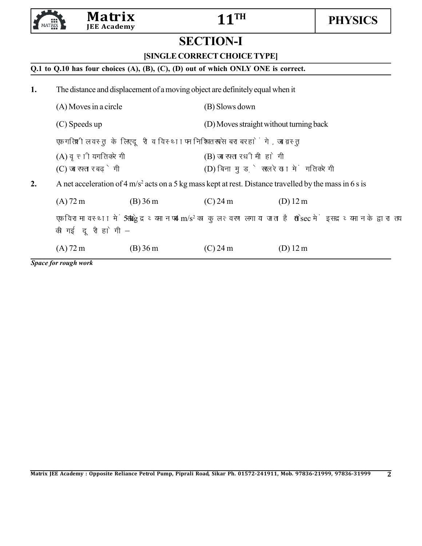

# **SECTION-I**

**[SINGLE CORRECT CHOICE TYPE]**

#### **Q.1 to Q.10 has four choices (A), (B), (C), (D) out of which ONLY ONE is correct.**

**1.** The distance and displacement of a moving object are definitely equal when it (A) Moves in a circle (B) Slows down (C) Speeds up (D) Moves straight without turning back एक गतिशील वस्तु के लिए दूरी व विस्थापन निश्चित रूप से बराबर होंगे, जब वस्तु :  $(A)$  वृत्तीय गति करेगी  $(B)$  जब रफ्तार धीमी होगी (C) जब रफ्तार बढ़ेगी  $(D)$  बिना मुड़े सरल रेखा में गति करेगी **2.** A net acceleration of  $4 \text{ m/s}^2$  acts on a 5 kg mass kept at rest. Distance travelled by the mass in 6 s is (A)  $72 \text{ m}$  (B)  $36 \text{ m}$  (C)  $24 \text{ m}$  (D)  $12 \text{ m}$ एक विरामावस्था में रखे 5 kg द्रव्यमान पर 4 m/s<sup>2</sup> का कुल त्वरण लगाया जाता है तो 6 sec में इस द्रव्यमान के द्वारा तय की गई दूरी होगी  $(A)$  72 m (B) 36 m (C) 24 m (D) 12 m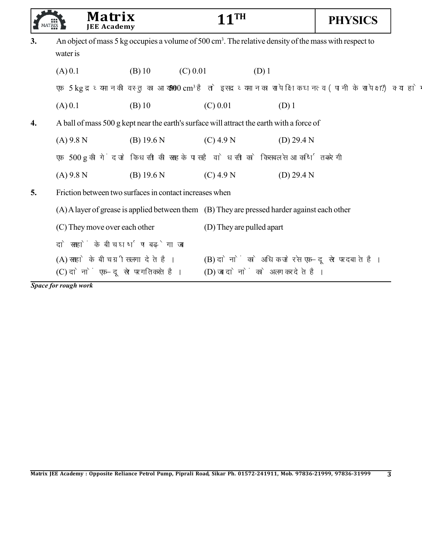|    | Matrix<br><b>JEE Academy</b>                                                                                                   |            |            | <b>11TH</b>                                                                       |         |            | <b>PHYSICS</b> |
|----|--------------------------------------------------------------------------------------------------------------------------------|------------|------------|-----------------------------------------------------------------------------------|---------|------------|----------------|
| 3. | An object of mass 5 kg occupies a volume of 500 cm <sup>3</sup> . The relative density of the mass with respect to<br>water is |            |            |                                                                                   |         |            |                |
|    | (A) 0.1                                                                                                                        | $(B)$ 10   | $(C)$ 0.01 |                                                                                   | $(D)$ 1 |            |                |
|    | एक 5 kg द्रव्यमान की वस्तु का आयतन 500 cm <sup>3</sup> है तो इस द्रव्यमान का सापेक्षिक घनत्व (पानी के सापेक्ष) क्या होगा ?     |            |            |                                                                                   |         |            |                |
|    | (A) 0.1                                                                                                                        | $(B)$ 10   |            | $(C)$ 0.01                                                                        |         | $(D)$ 1    |                |
| 4. | A ball of mass 500 g kept near the earth's surface will attract the earth with a force of                                      |            |            |                                                                                   |         |            |                |
|    | $(A)$ 9.8 N                                                                                                                    | (B) 19.6 N |            | $(C)$ 4.9 N                                                                       |         | (D) 29.4 N |                |
|    | एक 500 g की गेंद जो कि धरती की सतह के पास है वो धरती को किस बल से आकर्षित करेगी –                                              |            |            |                                                                                   |         |            |                |
|    | $(A)$ 9.8 N                                                                                                                    | (B) 19.6 N |            | $(C)$ 4.9 N                                                                       |         | (D) 29.4 N |                |
| 5. | Friction between two surfaces in contact increases when                                                                        |            |            |                                                                                   |         |            |                |
|    | (A) A layer of grease is applied between them (B) They are pressed harder against each other                                   |            |            |                                                                                   |         |            |                |
|    | (C) They move over each other                                                                                                  |            |            | (D) They are pulled apart                                                         |         |            |                |
|    | दो सतहों के बीच घर्षण बढ़ेगा जब -                                                                                              |            |            |                                                                                   |         |            |                |
|    | (A) सतहो के बीच ग्रीस लगा देते है।<br>(C) दोनों एक-दूसरे पर गति करते है।                                                       |            |            | (B) दोनों को अधिक जोर से एक-दूसरे पर दबाते है।<br>(D) जब दोनों को अलग कर देते है। |         |            |                |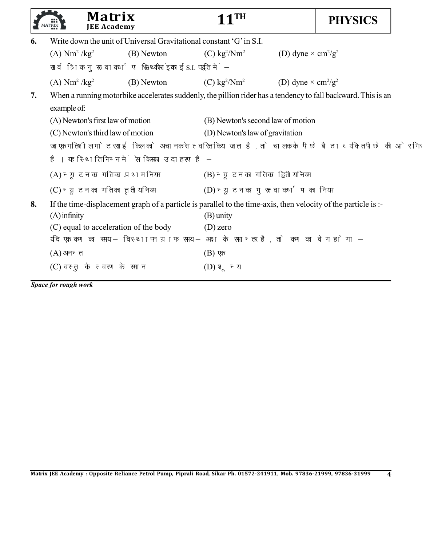|                                        |            | TH                                                                                                                                                                                                                                                |                                                                                                                                                                                       | <b>PHYSICS</b>                                                                                                                                                                                                                                                                                                                                                                                                                                                                                                                                                                                                            |
|----------------------------------------|------------|---------------------------------------------------------------------------------------------------------------------------------------------------------------------------------------------------------------------------------------------------|---------------------------------------------------------------------------------------------------------------------------------------------------------------------------------------|---------------------------------------------------------------------------------------------------------------------------------------------------------------------------------------------------------------------------------------------------------------------------------------------------------------------------------------------------------------------------------------------------------------------------------------------------------------------------------------------------------------------------------------------------------------------------------------------------------------------------|
|                                        |            |                                                                                                                                                                                                                                                   |                                                                                                                                                                                       |                                                                                                                                                                                                                                                                                                                                                                                                                                                                                                                                                                                                                           |
| $(A)$ Nm <sup>2</sup> /kg <sup>2</sup> | (B) Newton | $(C)$ kg <sup>2</sup> /Nm <sup>2</sup>                                                                                                                                                                                                            | (D) dyne $\times$ cm <sup>2</sup> /g <sup>2</sup>                                                                                                                                     |                                                                                                                                                                                                                                                                                                                                                                                                                                                                                                                                                                                                                           |
|                                        |            |                                                                                                                                                                                                                                                   |                                                                                                                                                                                       |                                                                                                                                                                                                                                                                                                                                                                                                                                                                                                                                                                                                                           |
| (A) $Nm^2/kg^2$                        | (B) Newton |                                                                                                                                                                                                                                                   | (D) dyne $\times$ cm <sup>2</sup> /g <sup>2</sup>                                                                                                                                     |                                                                                                                                                                                                                                                                                                                                                                                                                                                                                                                                                                                                                           |
| example of:                            |            |                                                                                                                                                                                                                                                   |                                                                                                                                                                                       |                                                                                                                                                                                                                                                                                                                                                                                                                                                                                                                                                                                                                           |
|                                        |            |                                                                                                                                                                                                                                                   |                                                                                                                                                                                       |                                                                                                                                                                                                                                                                                                                                                                                                                                                                                                                                                                                                                           |
|                                        |            |                                                                                                                                                                                                                                                   |                                                                                                                                                                                       |                                                                                                                                                                                                                                                                                                                                                                                                                                                                                                                                                                                                                           |
|                                        |            |                                                                                                                                                                                                                                                   |                                                                                                                                                                                       |                                                                                                                                                                                                                                                                                                                                                                                                                                                                                                                                                                                                                           |
|                                        |            |                                                                                                                                                                                                                                                   |                                                                                                                                                                                       |                                                                                                                                                                                                                                                                                                                                                                                                                                                                                                                                                                                                                           |
|                                        |            |                                                                                                                                                                                                                                                   |                                                                                                                                                                                       |                                                                                                                                                                                                                                                                                                                                                                                                                                                                                                                                                                                                                           |
|                                        |            |                                                                                                                                                                                                                                                   |                                                                                                                                                                                       |                                                                                                                                                                                                                                                                                                                                                                                                                                                                                                                                                                                                                           |
| $(A)$ infinity                         |            | $(B)$ unity<br>$(D)$ zero                                                                                                                                                                                                                         |                                                                                                                                                                                       |                                                                                                                                                                                                                                                                                                                                                                                                                                                                                                                                                                                                                           |
| $(A)$ अनन्त                            |            | $(B)$ एक                                                                                                                                                                                                                                          |                                                                                                                                                                                       |                                                                                                                                                                                                                                                                                                                                                                                                                                                                                                                                                                                                                           |
|                                        |            | (D) शून्य                                                                                                                                                                                                                                         |                                                                                                                                                                                       |                                                                                                                                                                                                                                                                                                                                                                                                                                                                                                                                                                                                                           |
|                                        |            | Matrix<br><b>JEE Academy</b><br>(A) Newton's first law of motion<br>(C) Newton's third law of motion<br>(A) न्यूटन का गति का प्रथम नियम<br>(C) न्यूटन का गति का तृतीय नियम<br>(C) equal to acceleration of the body<br>(C) वस्तु के त्वरण के समान | Write down the unit of Universal Gravitational constant 'G' in S.I.<br>सार्वत्रिक गुरूत्वाकर्षण स्थिरांक 'G' की इकाई S.I. पद्धति में–<br>है। यह स्थिति निम्न में से किसका उदाहरण है – | $(C)$ kg <sup>2</sup> /Nm <sup>2</sup><br>When a running motorbike accelerates suddenly, the pillion rider has a tendency to fall backward. This is an<br>(B) Newton's second law of motion<br>(D) Newton's law of gravitation<br>जब एक गतिशील मोटरसाईकिल को अचानक से त्वरित किया जाता है, तो चालक के पीछे बैठा व्यक्ति पीछे की ओर गिरता<br>(B) न्यूटन का गति का द्वितीय नियम<br>(D) न्यूटन का गुरूत्वाकर्षण का नियम<br>If the time-displacement graph of a particle is parallel to the time-axis, then velocity of the particle is :-<br>यदि एक कण का समय – विस्थापन ग्राफ समय – अक्ष के समान्तर है, तो कण का वेग होगा – |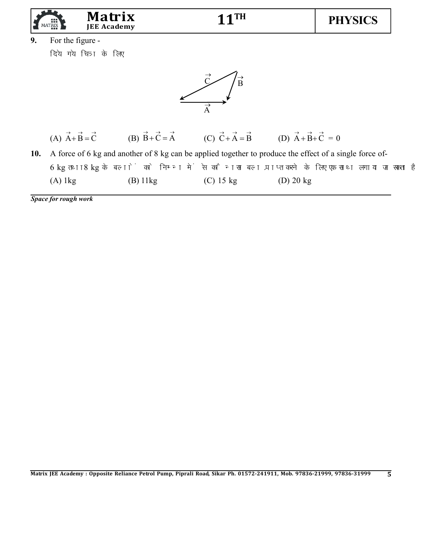

**9.** For the figure -

दिये गये चित्र के लिए



| $\rightarrow$ $\rightarrow$ $\rightarrow$ | $\rightarrow$ $\rightarrow$ $\rightarrow$ | $\rightarrow$ $\rightarrow$ $\rightarrow$ | $\rightarrow$ $\rightarrow$ $\rightarrow$ |
|-------------------------------------------|-------------------------------------------|-------------------------------------------|-------------------------------------------|
| $(A)$ A + B = C                           | (B) $B+C=A$                               | $(C)$ $C+A=B$                             | (D) $A + B + C = 0$                       |

**10.** A force of 6 kg and another of 8 kg can be applied together to produce the effect of a single force of-6 kg तथा 8 kg के बलों को निम्न में से कौनसा बल प्राप्त करने के लिए एक साथ लगाया जा सकता है – (A) 1kg (B) 11kg (C) 15 kg (D) 20 kg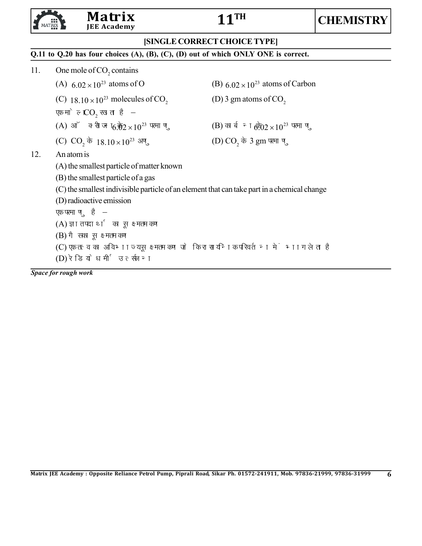# **Matrix**<br>IEE Academy



#### **[SINGLE CORRECT CHOICE TYPE]**

#### **Q.11 to Q.20 has four choices (A), (B), (C), (D) out of which ONLY ONE is correct.**

- 11. One mole of  $CO_2$  contains
	-
	- (C)  $18.10 \times 10^{23}$  molecules of CO<sub>2</sub> (D) 3 gm atoms of CO<sub>2</sub>
	- एक मोल  $CO<sub>2</sub>$  रखता है –
	- (A) ऑक्सीजन के  $6.02 \times 10^{23}$  परमाणु (B) कार्बन के  $6.02 \times 10^{23}$  परमाणु
	- (C)  $CO_2 \vec{\phi}$  18.10 × 10<sup>23</sup> अणु (D)  $CO_2 \vec{\phi}$  3 gm परमाणु

(A)  $6.02 \times 10^{23}$  atoms of O (B)  $6.02 \times 10^{23}$  atoms of Carbon

#### 12. An atom is

- (A) the smallest particle of matter known
- (B) the smallest particle of a gas
- (C) the smallest indivisible particle of an element that can take part in a chemical change
- (D) radioactive emission

एक परमाणु है $-$ 

 $(A)$  ज्ञात पदार्थ का सूक्ष्मतम कण

- $(B)$  गैस का सूक्ष्मतम कण
- (C) एक तत्व का अविभाज्य सूक्ष्मतम कण जो कि रासायनिक परिवर्तन में भाग लेता है
- (D) रेडियोधर्मी उत्सर्जन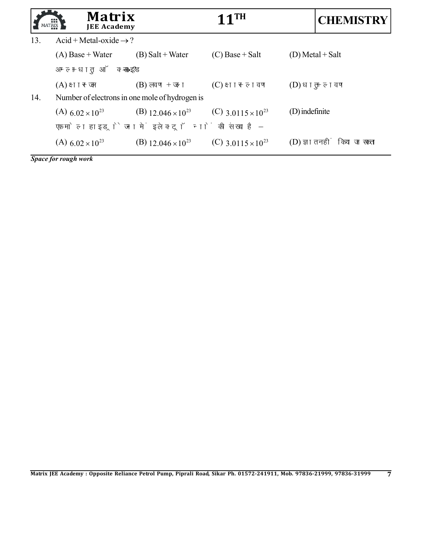|     | Matrix<br>ш<br><b>JEE Academy</b>                |                                      | $11$ <sup>TH</sup>                     |                  | <b>CHEMISTRY</b>            |
|-----|--------------------------------------------------|--------------------------------------|----------------------------------------|------------------|-----------------------------|
| 13. | Acid + Metal-oxide $\rightarrow$ ?               |                                      |                                        |                  |                             |
|     | $(A)$ Base + Water                               | $(B)$ Salt + Water                   | $(C)$ Base + Salt                      |                  | $(D)$ Metal + Salt          |
|     | अम्ल +धातु ऑक्साइड $\rightarrow$ ?               |                                      |                                        |                  |                             |
|     | (A) क्षार + जल                                   | $(B)$ लवण + जल                       | $(C)$ क्षार + लवण                      | $(D)$ धातु + लवण |                             |
| 14. | Number of electrons in one mole of hydrogen is   |                                      |                                        |                  |                             |
|     | (A) $6.02 \times 10^{23}$                        | (B) 12.046 $\times$ 10 <sup>23</sup> | $(C)$ 3 0115 $\times$ 10 <sup>23</sup> | (D) indefinite   |                             |
|     | एक मोल हाइड्रोजन में इलेक्ट्रॉनों की संख्या है – |                                      |                                        |                  |                             |
|     | (A) $6.02 \times 10^{23}$                        | (B) $12.046 \times 10^{23}$          | (C) 3.0115 $\times$ 10 <sup>23</sup>   |                  | (D) ज्ञात नहीं किया जा सकता |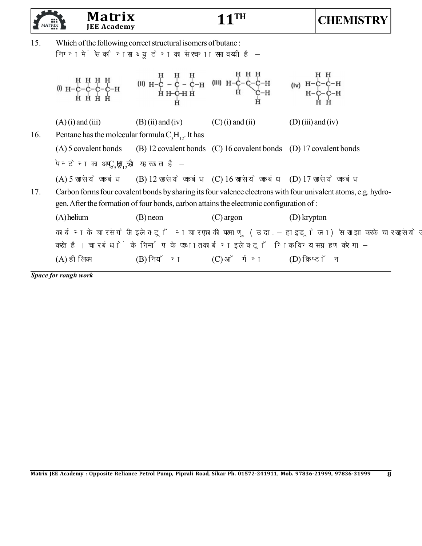|     |                     | <b>Matrix</b><br><b>JEE Academy</b>                       |                                                                                                                   | 1TH                                                                                                                                                                                                                                                                                                                                |                      | <b>CHEMISTRY</b>                                                                                             |
|-----|---------------------|-----------------------------------------------------------|-------------------------------------------------------------------------------------------------------------------|------------------------------------------------------------------------------------------------------------------------------------------------------------------------------------------------------------------------------------------------------------------------------------------------------------------------------------|----------------------|--------------------------------------------------------------------------------------------------------------|
| 15. |                     |                                                           | Which of the following correct structural isomers of butane:<br>निम्न में से कौनसा ब्यूटेन का संरचना समावयवी है - |                                                                                                                                                                                                                                                                                                                                    |                      |                                                                                                              |
|     |                     |                                                           |                                                                                                                   | $(0) H - C - C - C - H$ (b) $H - C - C - C - H$ (b) $H - C - C - C - H$ (b) $H - C - C - C - H$ (c) $H - C - C - C - H$ (b) $H - C - C - H$ (b) $H - C - C - H$ (b) $H - C - C - H$ (b) $H - C - C - H$ (c) $H - C - C - H$ (b) $H - C - C - H$ (b) $H - C - C - H$ (b) $H - C - C - H$ (c) $H - C - C - H$ (b) $H - C - C - H$ (c |                      |                                                                                                              |
|     | $(A)$ (i) and (iii) |                                                           | $(B)$ (ii) and (iv)                                                                                               | $(C)$ (i) and (ii)                                                                                                                                                                                                                                                                                                                 | $(D)$ (iii) and (iv) |                                                                                                              |
| 16. |                     |                                                           | Pentane has the molecular formula $C_5H_{12}$ . It has                                                            |                                                                                                                                                                                                                                                                                                                                    |                      |                                                                                                              |
|     |                     |                                                           |                                                                                                                   | (A) 5 covalent bonds (B) 12 covalent bonds (C) 16 covalent bonds (D) 17 covalent bonds                                                                                                                                                                                                                                             |                      |                                                                                                              |
|     |                     | पेन्टेन का अणुसूत्र $C_{\varsigma}H_{12}$ है यह रखता है – |                                                                                                                   |                                                                                                                                                                                                                                                                                                                                    |                      |                                                                                                              |
|     |                     |                                                           |                                                                                                                   | (A) 5 सहसंयोजक बंध (B) 12 सहसंयोजक बंध (C) 16 सहसंयोजक बंध (D) 17 सहसंयोजक बंध                                                                                                                                                                                                                                                     |                      |                                                                                                              |
| 17. |                     |                                                           |                                                                                                                   | Carbon forms four covalent bonds by sharing its four valence electrons with four univalent atoms, e.g. hydro-<br>gen. After the formation of four bonds, carbon attains the electronic configuration of:                                                                                                                           |                      |                                                                                                              |
|     | $(A)$ helium        |                                                           | $(B)$ neon                                                                                                        | $(C)$ argon                                                                                                                                                                                                                                                                                                                        | $(D)$ krypton        |                                                                                                              |
|     |                     |                                                           |                                                                                                                   | करते है। चार बंधों के निर्माण के पश्चात कार्बन इलेक्ट्रॉनिक विन्यास ग्रहण करेगा –                                                                                                                                                                                                                                                  |                      | कार्बन के चार संयोजी इलेक्ट्रॉन चार एकाकी परमाणु (उदा. – हाइड्रोजन) से साझा करके चार सहसंयोजक बंध का निर्माण |
|     | (A) हीलियम          |                                                           | $(B)$ नियॉन                                                                                                       | $(C)$ ऑर्गन                                                                                                                                                                                                                                                                                                                        | (D) क्रिप्टॉन        |                                                                                                              |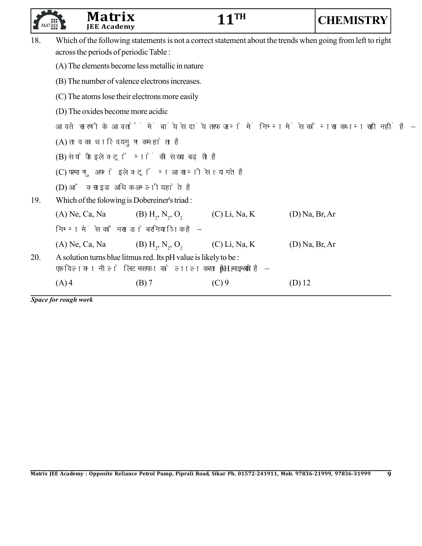|     | Matrix<br><b>JEE Academy</b>               |                                                                                                                               | $11$ <sup>TH</sup> | <b>CHEMISTRY</b>                                                                                            |
|-----|--------------------------------------------|-------------------------------------------------------------------------------------------------------------------------------|--------------------|-------------------------------------------------------------------------------------------------------------|
| 18. | across the periods of periodic Table :     |                                                                                                                               |                    | Which of the following statements is not a correct statement about the trends when going from left to right |
|     |                                            | (A) The elements become less metallic in nature                                                                               |                    |                                                                                                             |
|     |                                            | (B) The number of valence electrons increases.                                                                                |                    |                                                                                                             |
|     |                                            | (C) The atoms lose their electrons more easily                                                                                |                    |                                                                                                             |
|     | (D) The oxides become more acidic          |                                                                                                                               |                    |                                                                                                             |
|     |                                            | आवर्त सारणी के आवर्तों में बांये से दांये तरफ जाने में निम्न में से कौनसा कथन सही नहीं है –                                   |                    |                                                                                                             |
|     | (A) तत्व का धात्विय गुण कम होता है         |                                                                                                                               |                    |                                                                                                             |
|     | (B) संयोजी इलेक्ट्रॉनों की संख्या बढ़ती है |                                                                                                                               |                    |                                                                                                             |
|     |                                            | (C) परमाणु अपने इलेक्ट्रॉन आसानी से त्यागते है                                                                                |                    |                                                                                                             |
|     | (D) ऑक्साइड अधिक अम्लीय होते है            |                                                                                                                               |                    |                                                                                                             |
| 19. |                                            | Which of the folowing is Dobereiner's triad:                                                                                  |                    |                                                                                                             |
|     | $(A)$ Ne, Ca, Na                           | $(B) H2, N2, O2$                                                                                                              | $(C)$ Li, Na, K    | $(D)$ Na, Br, Ar                                                                                            |
|     | निम्न में से कौनसा डोबरनियर त्रिक है -     |                                                                                                                               |                    |                                                                                                             |
|     | $(A)$ Ne, Ca, Na                           | $(B) H_2, N_2, O_2$                                                                                                           | $(C)$ Li, Na, K    | $(D)$ Na, Br, Ar                                                                                            |
| 20. |                                            | A solution turns blue litmus red. Its pH value is likely to be :<br>एक विलयन नीले लिटमस पत्र को लाल करता है। इसकी pH मान है - |                    |                                                                                                             |
|     | $(A)$ 4                                    | $(B)$ 7                                                                                                                       | $(C)$ 9            | $(D)$ 12                                                                                                    |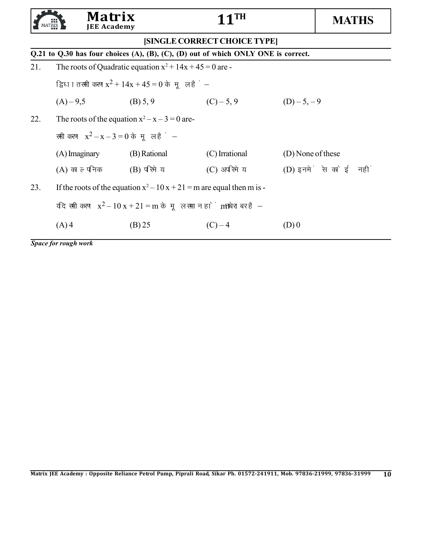|     | Matrix<br><b>JEE Academy</b>          |                                                            | 1TH                                                                                |                       | <b>MATHS</b> |
|-----|---------------------------------------|------------------------------------------------------------|------------------------------------------------------------------------------------|-----------------------|--------------|
|     |                                       |                                                            | [SINGLE CORRECT CHOICE TYPE]                                                       |                       |              |
|     |                                       |                                                            | Q.21 to Q.30 has four choices (A), (B), (C), (D) out of which ONLY ONE is correct. |                       |              |
| 21. |                                       | The roots of Quadratic equation $x^2 + 14x + 45 = 0$ are - |                                                                                    |                       |              |
|     |                                       | द्विघात समीकरण $x^2 + 14x + 45 = 0$ के मूल हैं—            |                                                                                    |                       |              |
|     | $(A) - 9,5$                           | (B) 5, 9                                                   | $(C) - 5, 9$                                                                       | $(D) - 5, -9$         |              |
| 22. |                                       | The roots of the equation $x^2 - x - 3 = 0$ are-           |                                                                                    |                       |              |
|     | समीकरण $x^2 - x - 3 = 0$ के मूल हैं — |                                                            |                                                                                    |                       |              |
|     | (A) Imaginary                         | (B) Rational                                               | (C) Irrational                                                                     | (D) None of these     |              |
|     | (A) काल्पनिक                          | $(B)$ परिमेय                                               | (C) अपरिमेय                                                                        | (D) इनमें से कोई नहीं |              |
| 23. |                                       |                                                            | If the roots of the equation $x^2 - 10x + 21 = m$ are equal then m is -            |                       |              |
|     |                                       |                                                            | यदि समीकरण $x^2 - 10x + 21 = m$ के मूल समान हों, तो m बराबर है–                    |                       |              |
|     | $(A)$ 4                               | (B) 25                                                     | $(C) - 4$                                                                          | (D)0                  |              |
|     |                                       |                                                            |                                                                                    |                       |              |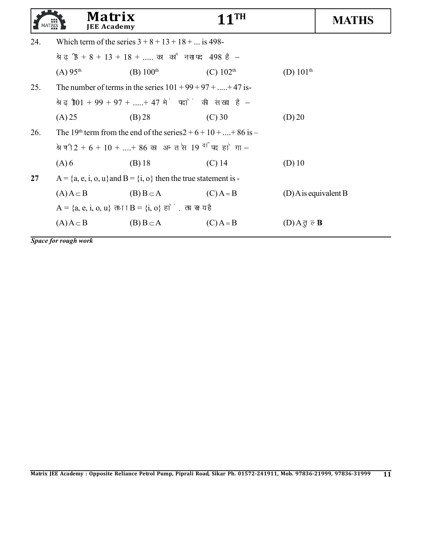|     | Matrix<br><b>JEE Academy</b>        |                                                                                  | $11$ TH        |                         | <b>MATHS</b> |
|-----|-------------------------------------|----------------------------------------------------------------------------------|----------------|-------------------------|--------------|
| 24. |                                     | Which term of the series $3 + 8 + 13 + 18 + $ is 498-                            |                |                         |              |
|     |                                     | श्रेढी $3+8+13+18+$ का कौनसा पद 498 है–                                          |                |                         |              |
|     | (A) 95 <sup>th</sup>                | (B) $100^{\text{th}}$                                                            | (C) $102^{th}$ | (D) $101^{\text{th}}$   |              |
| 25. |                                     | The number of terms in the series $101 + 99 + 97 + \dots + 47$ is-               |                |                         |              |
|     |                                     | श्रेढी $101 + 99 + 97 + \dots + 47$ में पदों की संख्या है–                       |                |                         |              |
|     | (A) 25                              | (B) 28                                                                           | $(C)$ 30       | (D) 20                  |              |
| 26. |                                     | The 19 <sup>th</sup> term from the end of the series $2 + 6 + 10 +  + 86$ is $-$ |                |                         |              |
|     |                                     | श्रेणी $2 + 6 + 10 +  + 86$ का अन्त से 19 <sup>वाँ</sup> पद होगा-                |                |                         |              |
|     | $(A)$ 6                             | $(B)$ 18                                                                         | $(C)$ 14       | $(D)$ 10                |              |
| 27  |                                     | $A = \{a, e, i, o, u\}$ and $B = \{i, o\}$ then the true statement is -          |                |                         |              |
|     | $(A) A \subset B$ $(B) B \subset A$ |                                                                                  | $(C)$ A = B    | $(D)$ A is equivalent B |              |
|     |                                     | $A = \{a, e, i, o, u\}$ तथा $B = \{i, o\}$ हों, तब सत्य है:                      |                |                         |              |
|     | $(A)A \subset B$                    | $(B) B \subset A$                                                                | $(C)$ A = B    | (D) A तुल्य B           |              |
|     |                                     |                                                                                  |                |                         |              |